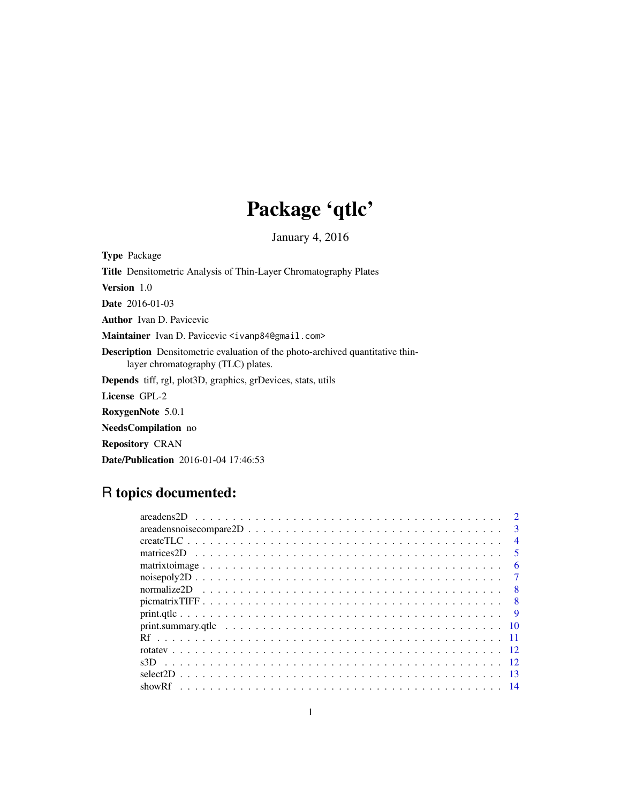# Package 'qtlc'

January 4, 2016

Type Package Title Densitometric Analysis of Thin-Layer Chromatography Plates Version 1.0 Date 2016-01-03 Author Ivan D. Pavicevic Maintainer Ivan D. Pavicevic <ivanp84@gmail.com> Description Densitometric evaluation of the photo-archived quantitative thinlayer chromatography (TLC) plates. Depends tiff, rgl, plot3D, graphics, grDevices, stats, utils License GPL-2 RoxygenNote 5.0.1 NeedsCompilation no Repository CRAN Date/Publication 2016-01-04 17:46:53

# R topics documented:

| areadens noise compare $2D \ldots \ldots \ldots \ldots \ldots \ldots \ldots \ldots \ldots \ldots \ldots \ldots$ | 3                       |
|-----------------------------------------------------------------------------------------------------------------|-------------------------|
|                                                                                                                 | $\overline{4}$          |
|                                                                                                                 | $\overline{\mathbf{5}}$ |
|                                                                                                                 | 6                       |
|                                                                                                                 |                         |
|                                                                                                                 | -8                      |
|                                                                                                                 | - 8                     |
|                                                                                                                 | -9                      |
|                                                                                                                 |                         |
|                                                                                                                 |                         |
|                                                                                                                 |                         |
|                                                                                                                 |                         |
|                                                                                                                 |                         |
|                                                                                                                 |                         |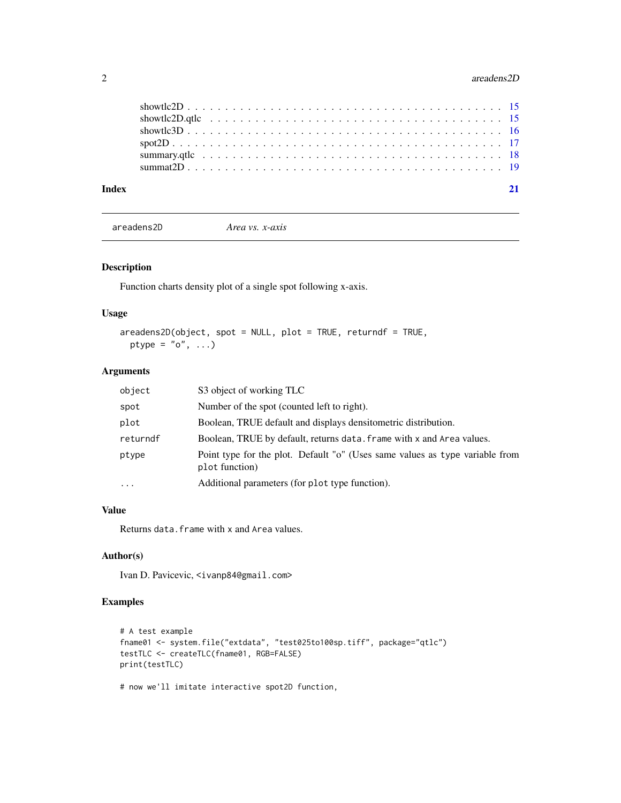#### <span id="page-1-0"></span>2 areadens2D

| Index |  |
|-------|--|
|       |  |
|       |  |
|       |  |
|       |  |
|       |  |
|       |  |

```
areadens2D Area vs. x-axis
```
#### Description

Function charts density plot of a single spot following x-axis.

#### Usage

```
areadens2D(object, spot = NULL, plot = TRUE, returndf = TRUE,
 ptype = "o", \ldots)
```
#### Arguments

| object   | S3 object of working TLC                                                                       |  |
|----------|------------------------------------------------------------------------------------------------|--|
| spot     | Number of the spot (counted left to right).                                                    |  |
| plot     | Boolean, TRUE default and displays densite metric distribution.                                |  |
| returndf | Boolean, TRUE by default, returns data. frame with x and Area values.                          |  |
| ptype    | Point type for the plot. Default "o" (Uses same values as type variable from<br>plot function) |  |
| $\cdots$ | Additional parameters (for plot type function).                                                |  |

#### Value

Returns data.frame with x and Area values.

#### Author(s)

Ivan D. Pavicevic, <ivanp84@gmail.com>

#### Examples

```
# A test example
fname01 <- system.file("extdata", "test025to100sp.tiff", package="qtlc")
testTLC <- createTLC(fname01, RGB=FALSE)
print(testTLC)
```
# now we'll imitate interactive spot2D function,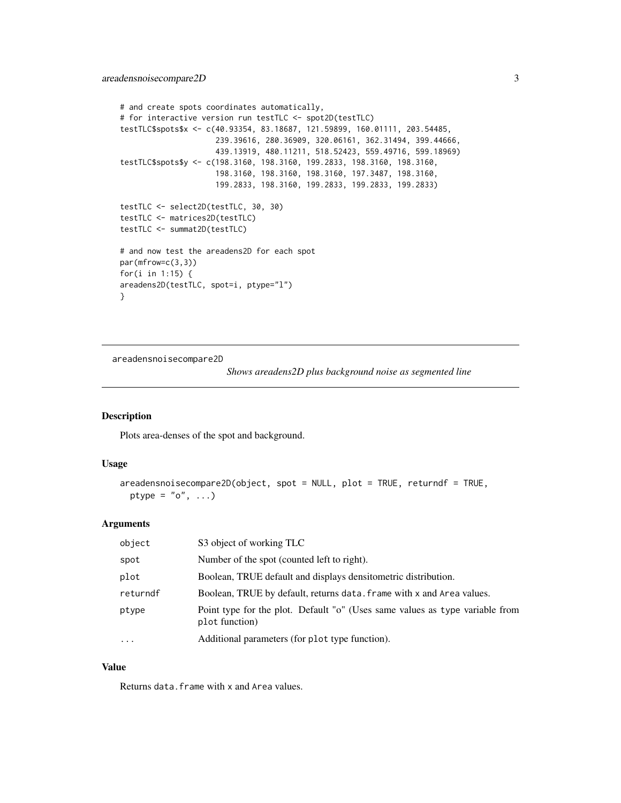```
# and create spots coordinates automatically,
# for interactive version run testTLC <- spot2D(testTLC)
testTLC$spots$x <- c(40.93354, 83.18687, 121.59899, 160.01111, 203.54485,
                     239.39616, 280.36909, 320.06161, 362.31494, 399.44666,
                     439.13919, 480.11211, 518.52423, 559.49716, 599.18969)
testTLC$spots$y <- c(198.3160, 198.3160, 199.2833, 198.3160, 198.3160,
                     198.3160, 198.3160, 198.3160, 197.3487, 198.3160,
                     199.2833, 198.3160, 199.2833, 199.2833, 199.2833)
testTLC <- select2D(testTLC, 30, 30)
testTLC <- matrices2D(testTLC)
testTLC <- summat2D(testTLC)
# and now test the areadens2D for each spot
par(mfrow=c(3,3))
for(i in 1:15) {
areadens2D(testTLC, spot=i, ptype="l")
}
```
areadensnoisecompare2D

*Shows areadens2D plus background noise as segmented line*

#### Description

Plots area-denses of the spot and background.

#### Usage

```
areadensnoisecompare2D(object, spot = NULL, plot = TRUE, returndf = TRUE,
 ptype = "o", \ldots)
```
#### Arguments

| object    | S3 object of working TLC                                                                       |
|-----------|------------------------------------------------------------------------------------------------|
| spot      | Number of the spot (counted left to right).                                                    |
| plot      | Boolean, TRUE default and displays densite metric distribution.                                |
| returndf  | Boolean, TRUE by default, returns data. frame with x and Area values.                          |
| ptype     | Point type for the plot. Default "o" (Uses same values as type variable from<br>plot function) |
| $\ddotsc$ | Additional parameters (for plot type function).                                                |

#### Value

Returns data.frame with x and Area values.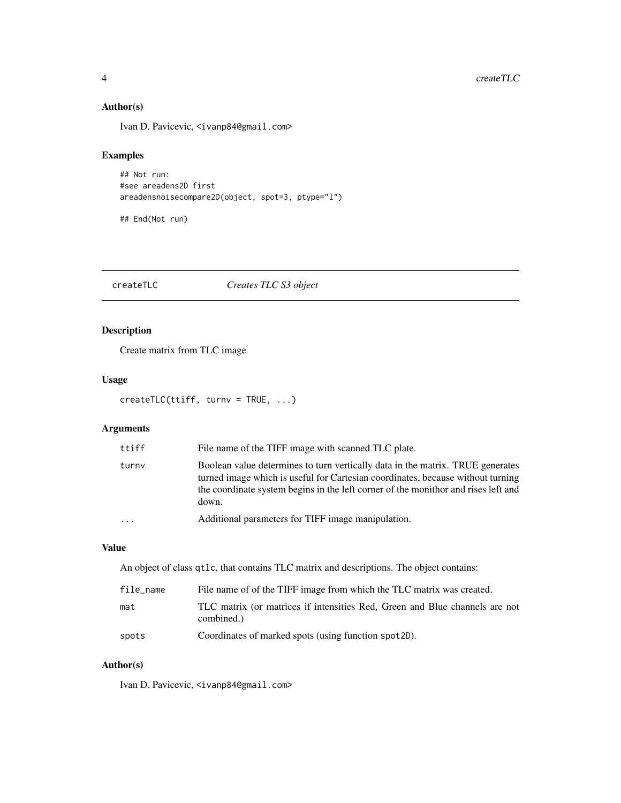#### Author(s)

Ivan D. Pavicevic, <ivanp84@gmail.com>

#### Examples

```
## Not run:
#see areadens2D first
areadensnoisecompare2D(object, spot=3, ptype="l")
```
## End(Not run)

createTLC *Creates TLC S3 object*

# Description

Create matrix from TLC image

#### Usage

```
createTLC(ttiff, turnv = TRUE, ...)
```
#### Arguments

| ttiff                   | File name of the TIFF image with scanned TLC plate.                                                                                                                                                                                                              |
|-------------------------|------------------------------------------------------------------------------------------------------------------------------------------------------------------------------------------------------------------------------------------------------------------|
| turny                   | Boolean value determines to turn vertically data in the matrix. TRUE generates<br>turned image which is useful for Cartesian coordinates, because without turning<br>the coordinate system begins in the left corner of the monithor and rises left and<br>down. |
| $\cdot$ $\cdot$ $\cdot$ | Additional parameters for TIFF image manipulation.                                                                                                                                                                                                               |

#### Value

An object of class qtlc, that contains TLC matrix and descriptions. The object contains:

| file_name | File name of of the TIFF image from which the TLC matrix was created.                     |
|-----------|-------------------------------------------------------------------------------------------|
| mat       | TLC matrix (or matrices if intensities Red, Green and Blue channels are not<br>combined.) |
| spots     | Coordinates of marked spots (using function spot 2D).                                     |

# Author(s)

Ivan D. Pavicevic, <ivanp84@gmail.com>

<span id="page-3-0"></span>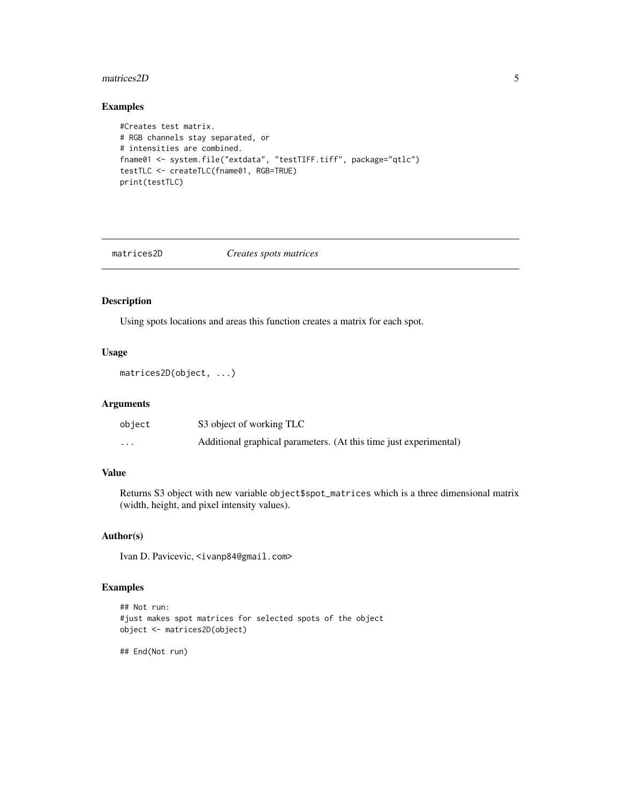#### <span id="page-4-0"></span>matrices 2D 5

#### Examples

```
#Creates test matrix.
# RGB channels stay separated, or
# intensities are combined.
fname01 <- system.file("extdata", "testTIFF.tiff", package="qtlc")
testTLC <- createTLC(fname01, RGB=TRUE)
print(testTLC)
```
matrices2D *Creates spots matrices*

#### Description

Using spots locations and areas this function creates a matrix for each spot.

#### Usage

matrices2D(object, ...)

#### Arguments

| object   | S3 object of working TLC                                          |
|----------|-------------------------------------------------------------------|
| $\cdots$ | Additional graphical parameters. (At this time just experimental) |

#### Value

Returns S3 object with new variable object\$spot\_matrices which is a three dimensional matrix (width, height, and pixel intensity values).

#### Author(s)

Ivan D. Pavicevic, <ivanp84@gmail.com>

#### Examples

```
## Not run:
#just makes spot matrices for selected spots of the object
object <- matrices2D(object)
```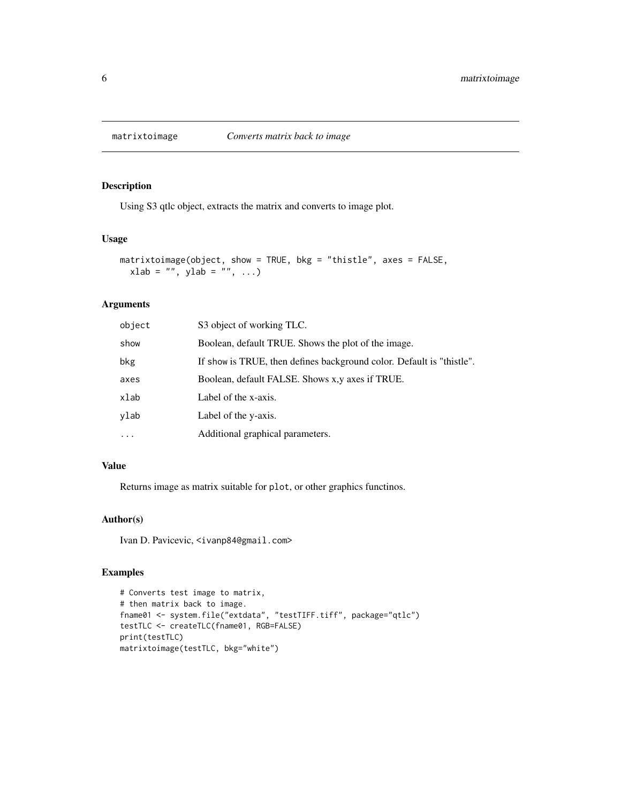<span id="page-5-0"></span>

Using S3 qtlc object, extracts the matrix and converts to image plot.

#### Usage

```
matrixtoimage(object, show = TRUE, bkg = "thistle", axes = FALSE,
 xlab = "", ylab = "", ...)
```
#### Arguments

| object    | S3 object of working TLC.                                             |
|-----------|-----------------------------------------------------------------------|
| show      | Boolean, default TRUE. Shows the plot of the image.                   |
| bkg       | If show is TRUE, then defines background color. Default is "thistle". |
| axes      | Boolean, default FALSE. Shows x,y axes if TRUE.                       |
| xlab      | Label of the x-axis.                                                  |
| ylab      | Label of the y-axis.                                                  |
| $\ddotsc$ | Additional graphical parameters.                                      |
|           |                                                                       |

#### Value

Returns image as matrix suitable for plot, or other graphics functinos.

#### Author(s)

Ivan D. Pavicevic, <ivanp84@gmail.com>

#### Examples

```
# Converts test image to matrix,
# then matrix back to image.
fname01 <- system.file("extdata", "testTIFF.tiff", package="qtlc")
testTLC <- createTLC(fname01, RGB=FALSE)
print(testTLC)
matrixtoimage(testTLC, bkg="white")
```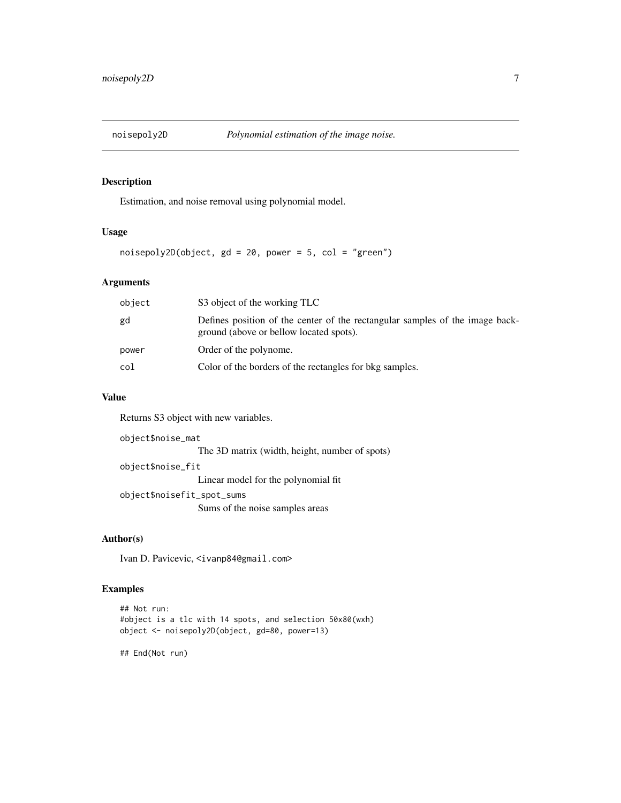<span id="page-6-0"></span>

Estimation, and noise removal using polynomial model.

#### Usage

 $noisepoly2D(object, gd = 20, power = 5, col = "green")$ 

#### Arguments

| object | S3 object of the working TLC                                                                                            |
|--------|-------------------------------------------------------------------------------------------------------------------------|
| gd     | Defines position of the center of the rectangular samples of the image back-<br>ground (above or bellow located spots). |
| power  | Order of the polynome.                                                                                                  |
| col    | Color of the borders of the rectangles for bkg samples.                                                                 |

# Value

Returns S3 object with new variables.

object\$noise\_mat The 3D matrix (width, height, number of spots) object\$noise\_fit Linear model for the polynomial fit object\$noisefit\_spot\_sums Sums of the noise samples areas

#### Author(s)

Ivan D. Pavicevic, <ivanp84@gmail.com>

#### Examples

```
## Not run:
#object is a tlc with 14 spots, and selection 50x80(wxh)
object <- noisepoly2D(object, gd=80, power=13)
```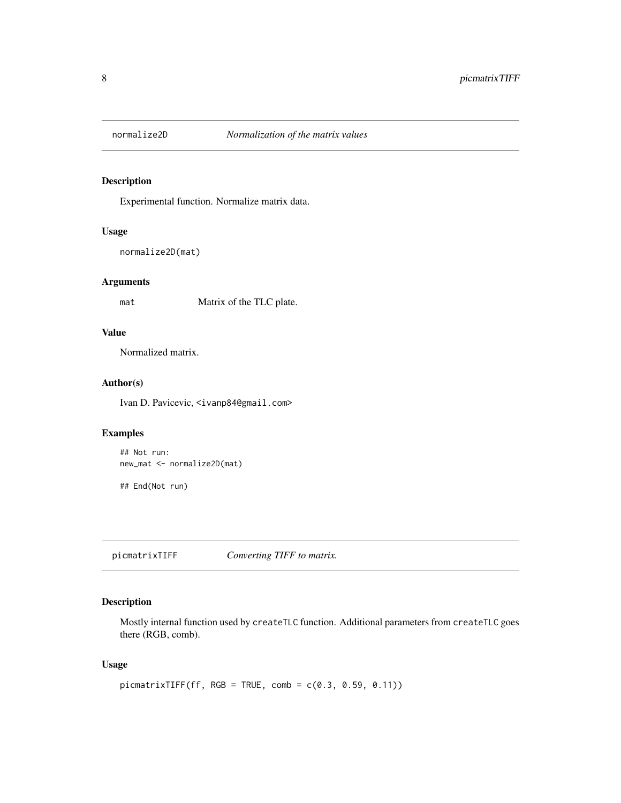<span id="page-7-0"></span>

Experimental function. Normalize matrix data.

#### Usage

```
normalize2D(mat)
```
#### Arguments

mat Matrix of the TLC plate.

#### Value

Normalized matrix.

#### Author(s)

Ivan D. Pavicevic, <ivanp84@gmail.com>

# Examples

```
## Not run:
new_mat <- normalize2D(mat)
## End(Not run)
```
picmatrixTIFF *Converting TIFF to matrix.*

# Description

Mostly internal function used by createTLC function. Additional parameters from createTLC goes there (RGB, comb).

#### Usage

```
picmatrixTIFF(ff, RGB = TRUE, comb = c(0.3, 0.59, 0.11))
```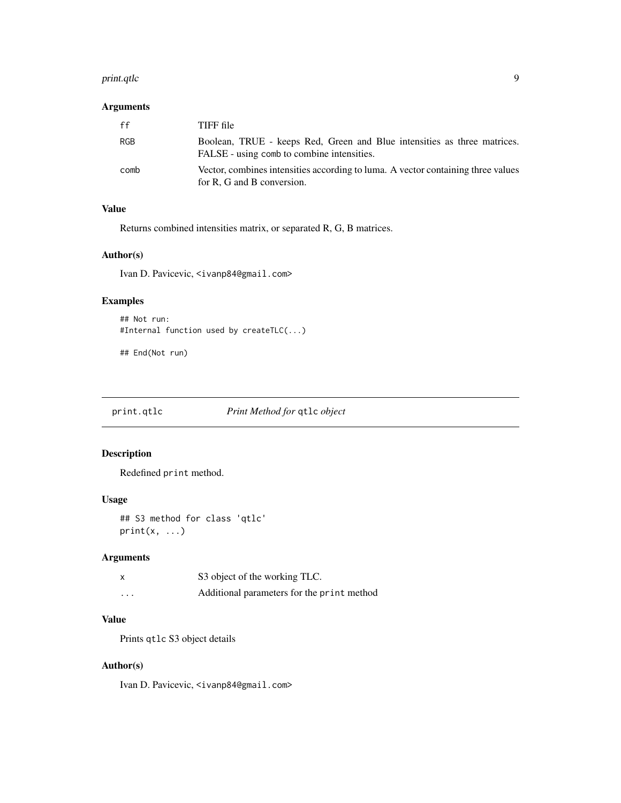#### <span id="page-8-0"></span>print.qtlc 9

# Arguments

| ff         | TIFF file                                                                                                              |
|------------|------------------------------------------------------------------------------------------------------------------------|
| <b>RGB</b> | Boolean, TRUE - keeps Red, Green and Blue intensities as three matrices.<br>FALSE - using comb to combine intensities. |
| comb       | Vector, combines intensities according to luma. A vector containing three values<br>for R, G and B conversion.         |

#### Value

Returns combined intensities matrix, or separated R, G, B matrices.

#### Author(s)

Ivan D. Pavicevic, <ivanp84@gmail.com>

# Examples

```
## Not run:
#Internal function used by createTLC(...)
```
## End(Not run)

print.qtlc *Print Method for* qtlc *object*

# Description

Redefined print method.

#### Usage

```
## S3 method for class 'qtlc'
print(x, \ldots)
```
# Arguments

| X | S3 object of the working TLC.              |
|---|--------------------------------------------|
| . | Additional parameters for the print method |

### Value

Prints qtlc S3 object details

#### Author(s)

Ivan D. Pavicevic, <ivanp84@gmail.com>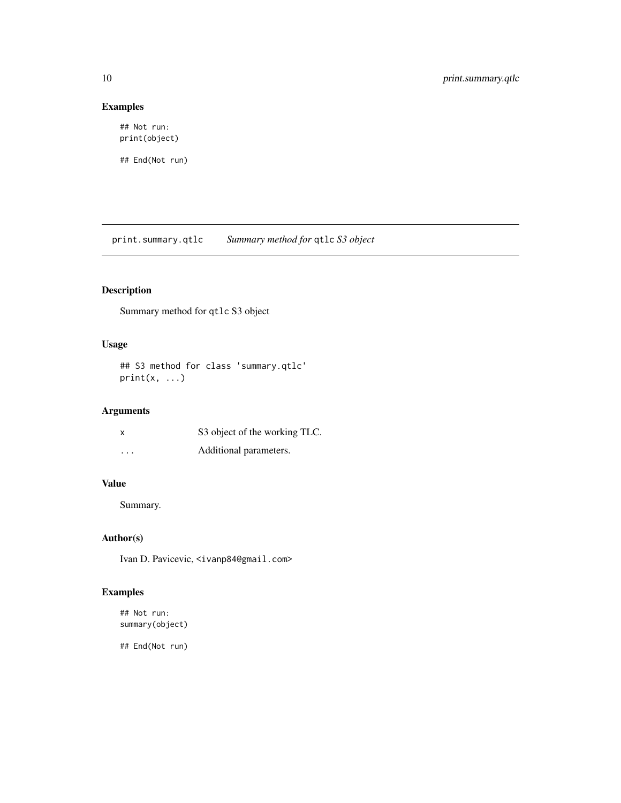# Examples

```
## Not run:
print(object)
```
## End(Not run)

print.summary.qtlc *Summary method for* qtlc *S3 object*

# Description

Summary method for qtlc S3 object

#### Usage

## S3 method for class 'summary.qtlc'  $print(x, \ldots)$ 

#### Arguments

| X        | S3 object of the working TLC. |
|----------|-------------------------------|
| $\cdots$ | Additional parameters.        |

#### Value

Summary.

#### Author(s)

Ivan D. Pavicevic, <ivanp84@gmail.com>

# Examples

## Not run: summary(object)

<span id="page-9-0"></span>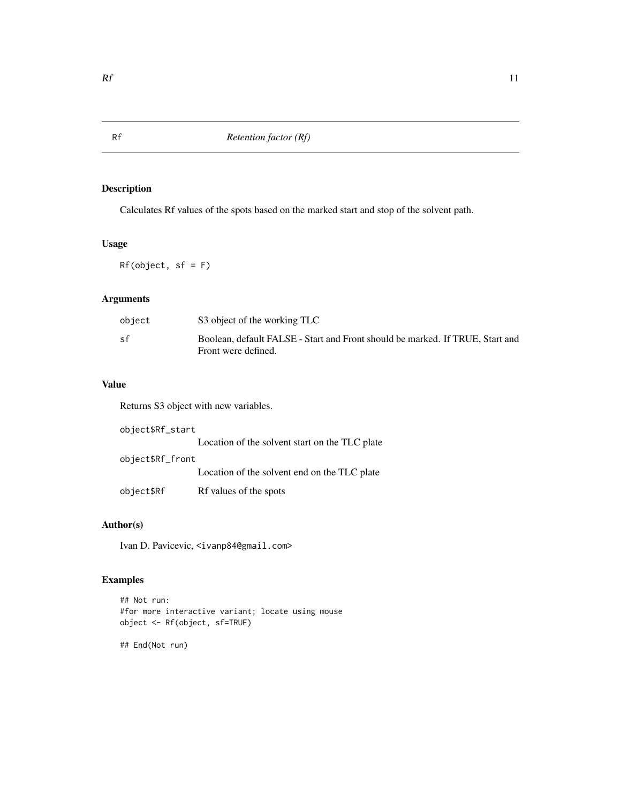Calculates Rf values of the spots based on the marked start and stop of the solvent path.

#### Usage

 $Rf(object, sf = F)$ 

#### Arguments

| object | S3 object of the working TLC                                                                         |
|--------|------------------------------------------------------------------------------------------------------|
| sf     | Boolean, default FALSE - Start and Front should be marked. If TRUE, Start and<br>Front were defined. |

# Value

Returns S3 object with new variables.

| object\$Rf_start |                                                |
|------------------|------------------------------------------------|
|                  | Location of the solvent start on the TLC plate |
| object\$Rf_front |                                                |
|                  | Location of the solvent end on the TLC plate   |
| object\$Rf       | Rf values of the spots                         |

# Author(s)

Ivan D. Pavicevic, <ivanp84@gmail.com>

# Examples

```
## Not run:
#for more interactive variant; locate using mouse
object <- Rf(object, sf=TRUE)
```
<span id="page-10-0"></span>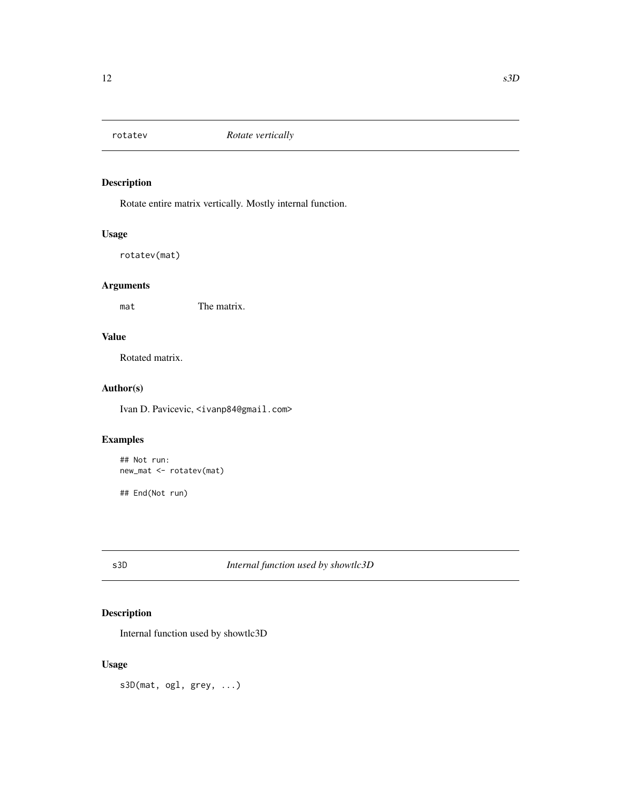<span id="page-11-0"></span>

Rotate entire matrix vertically. Mostly internal function.

# Usage

rotatev(mat)

# Arguments

mat The matrix.

#### Value

Rotated matrix.

#### Author(s)

Ivan D. Pavicevic, <ivanp84@gmail.com>

# Examples

```
## Not run:
new_mat <- rotatev(mat)
## End(Not run)
```
#### s3D *Internal function used by showtlc3D*

#### Description

Internal function used by showtlc3D

#### Usage

s3D(mat, ogl, grey, ...)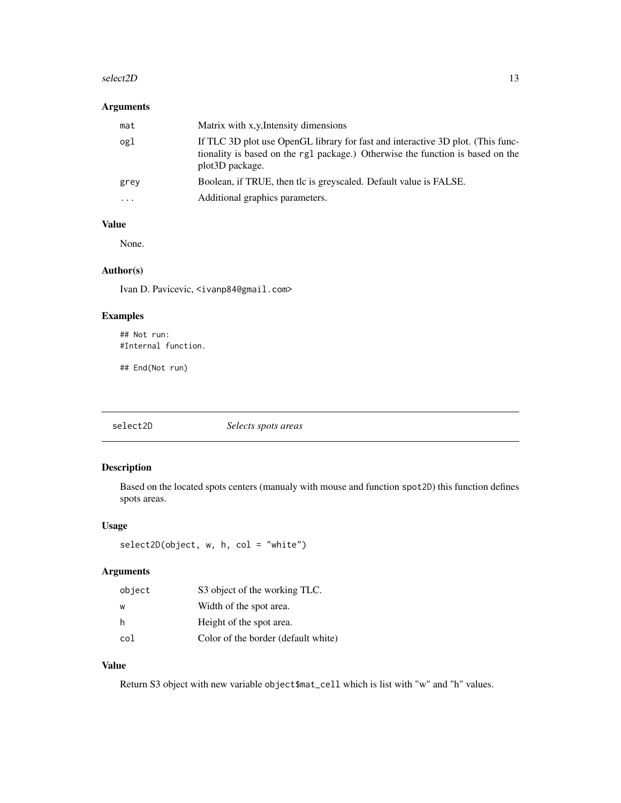#### <span id="page-12-0"></span> $\text{select2D}$  13

# Arguments

| mat       | Matrix with x,y, Intensity dimensions                                                                                                                                                             |
|-----------|---------------------------------------------------------------------------------------------------------------------------------------------------------------------------------------------------|
| ogl       | If TLC 3D plot use OpenGL library for fast and interactive 3D plot. (This func-<br>tionality is based on the rg1 package.) Otherwise the function is based on the<br>plot <sub>3</sub> D package. |
| grey      | Boolean, if TRUE, then the is greyscaled. Default value is FALSE.                                                                                                                                 |
| $\ddotsc$ | Additional graphics parameters.                                                                                                                                                                   |

#### Value

None.

#### Author(s)

Ivan D. Pavicevic, <ivanp84@gmail.com>

#### Examples

## Not run: #Internal function.

## End(Not run)

select2D *Selects spots areas*

#### Description

Based on the located spots centers (manualy with mouse and function spot2D) this function defines spots areas.

#### Usage

```
select2D(object, w, h, col = "white")
```
#### Arguments

| object | S3 object of the working TLC.       |
|--------|-------------------------------------|
| W      | Width of the spot area.             |
| h      | Height of the spot area.            |
| col    | Color of the border (default white) |

# Value

Return S3 object with new variable object\$mat\_cell which is list with "w" and "h" values.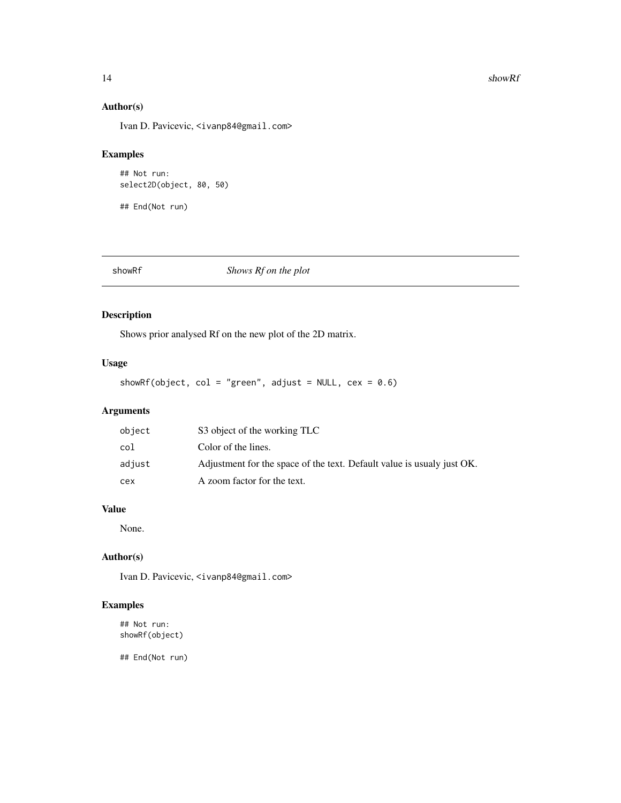#### <span id="page-13-0"></span>14 showRf

#### Author(s)

Ivan D. Pavicevic, <ivanp84@gmail.com>

#### Examples

```
## Not run:
select2D(object, 80, 50)
```
## End(Not run)

showRf *Shows Rf on the plot*

# Description

Shows prior analysed Rf on the new plot of the 2D matrix.

#### Usage

showRf(object, col = "green", adjust = NULL, cex =  $0.6$ )

#### Arguments

| object | S3 object of the working TLC                                           |
|--------|------------------------------------------------------------------------|
| col    | Color of the lines.                                                    |
| adjust | Adjustment for the space of the text. Default value is usualy just OK. |
| cex    | A zoom factor for the text.                                            |

#### Value

None.

# Author(s)

Ivan D. Pavicevic, <ivanp84@gmail.com>

#### Examples

## Not run: showRf(object)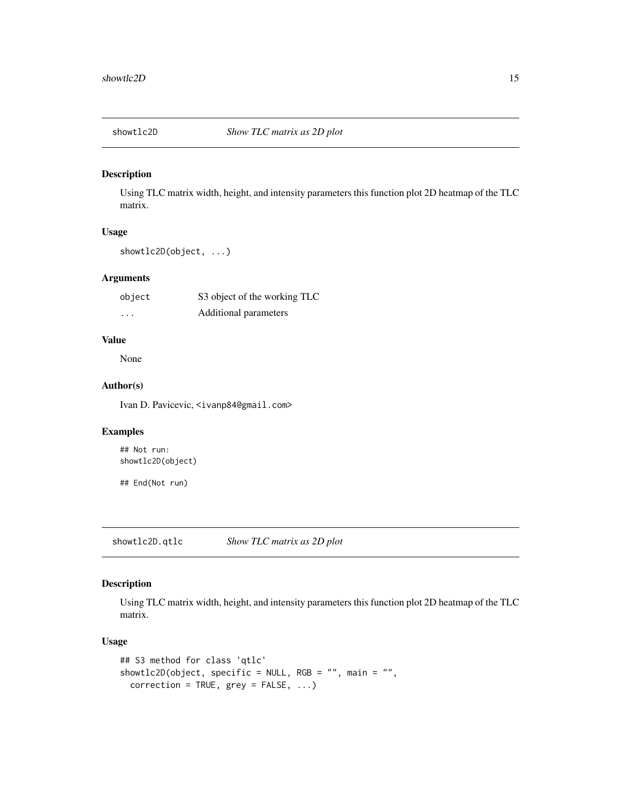<span id="page-14-0"></span>

Using TLC matrix width, height, and intensity parameters this function plot 2D heatmap of the TLC matrix.

#### Usage

showtlc2D(object, ...)

#### Arguments

| object   | S3 object of the working TLC |
|----------|------------------------------|
| $\cdots$ | Additional parameters        |

#### Value

None

#### Author(s)

Ivan D. Pavicevic, <ivanp84@gmail.com>

#### Examples

## Not run: showtlc2D(object)

## End(Not run)

showtlc2D.qtlc *Show TLC matrix as 2D plot*

#### Description

Using TLC matrix width, height, and intensity parameters this function plot 2D heatmap of the TLC matrix.

#### Usage

```
## S3 method for class 'qtlc'
showtlc2D(object, specific = NULL, RGB = "", main = "",
 correction = TRUE, grey = FALSE, ...)
```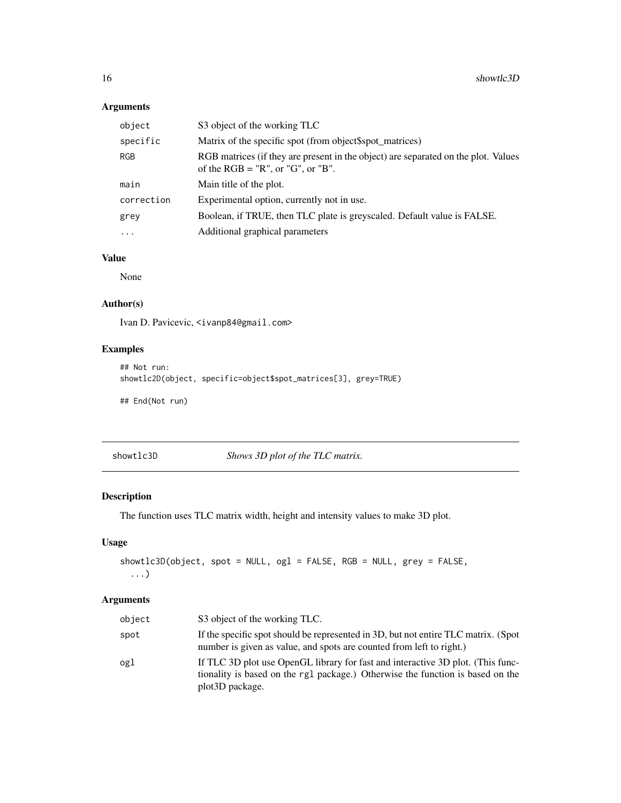# Arguments

| object     | S3 object of the working TLC                                                                                              |
|------------|---------------------------------------------------------------------------------------------------------------------------|
| specific   | Matrix of the specific spot (from object\$spot_matrices)                                                                  |
| RGB        | RGB matrices (if they are present in the object) are separated on the plot. Values<br>of the $RGB = "R", or "G", or "B".$ |
| main       | Main title of the plot.                                                                                                   |
| correction | Experimental option, currently not in use.                                                                                |
| grey       | Boolean, if TRUE, then TLC plate is greyscaled. Default value is FALSE.                                                   |
| $\ddotsc$  | Additional graphical parameters                                                                                           |

# Value

None

#### Author(s)

Ivan D. Pavicevic, <ivanp84@gmail.com>

#### Examples

```
## Not run:
showtlc2D(object, specific=object$spot_matrices[3], grey=TRUE)
```
## End(Not run)

showtlc3D *Shows 3D plot of the TLC matrix.*

# Description

The function uses TLC matrix width, height and intensity values to make 3D plot.

# Usage

```
showtlc3D(object, spot = NULL, ogl = FALSE, RGB = NULL, grey = FALSE,
 ...)
```
#### Arguments

| object | S3 object of the working TLC.                                                                                                                                                                     |
|--------|---------------------------------------------------------------------------------------------------------------------------------------------------------------------------------------------------|
| spot   | If the specific spot should be represented in 3D, but not entire TLC matrix. (Spot<br>number is given as value, and spots are counted from left to right.)                                        |
| ogl    | If TLC 3D plot use OpenGL library for fast and interactive 3D plot. (This func-<br>tionality is based on the rg1 package.) Otherwise the function is based on the<br>plot <sub>3</sub> D package. |

<span id="page-15-0"></span>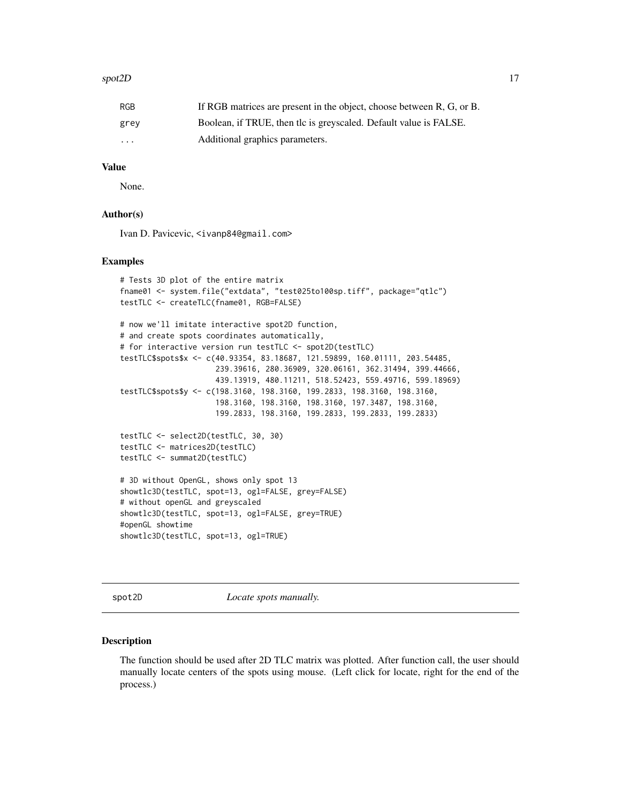#### <span id="page-16-0"></span>spot2D and the spot of the spot of the spot of the spot of the spot of the spot of the spot of the spot of the spot of the spot of the spot of the spot of the spot of the spot of the spot of the spot of the spot of the spo

| RGB      | If RGB matrices are present in the object, choose between R, G, or B. |
|----------|-----------------------------------------------------------------------|
| grey     | Boolean, if TRUE, then the is greyscaled. Default value is FALSE.     |
| $\cdots$ | Additional graphics parameters.                                       |

#### Value

None.

#### Author(s)

Ivan D. Pavicevic, <ivanp84@gmail.com>

#### Examples

```
# Tests 3D plot of the entire matrix
fname01 <- system.file("extdata", "test025to100sp.tiff", package="qtlc")
testTLC <- createTLC(fname01, RGB=FALSE)
# now we'll imitate interactive spot2D function,
# and create spots coordinates automatically,
# for interactive version run testTLC <- spot2D(testTLC)
testTLC$spots$x <- c(40.93354, 83.18687, 121.59899, 160.01111, 203.54485,
                     239.39616, 280.36909, 320.06161, 362.31494, 399.44666,
                     439.13919, 480.11211, 518.52423, 559.49716, 599.18969)
testTLC$spots$y <- c(198.3160, 198.3160, 199.2833, 198.3160, 198.3160,
                     198.3160, 198.3160, 198.3160, 197.3487, 198.3160,
                     199.2833, 198.3160, 199.2833, 199.2833, 199.2833)
testTLC <- select2D(testTLC, 30, 30)
testTLC <- matrices2D(testTLC)
testTLC <- summat2D(testTLC)
# 3D without OpenGL, shows only spot 13
showtlc3D(testTLC, spot=13, ogl=FALSE, grey=FALSE)
# without openGL and greyscaled
showtlc3D(testTLC, spot=13, ogl=FALSE, grey=TRUE)
#openGL showtime
showtlc3D(testTLC, spot=13, ogl=TRUE)
```
spot2D *Locate spots manually.* 

#### **Description**

The function should be used after 2D TLC matrix was plotted. After function call, the user should manually locate centers of the spots using mouse. (Left click for locate, right for the end of the process.)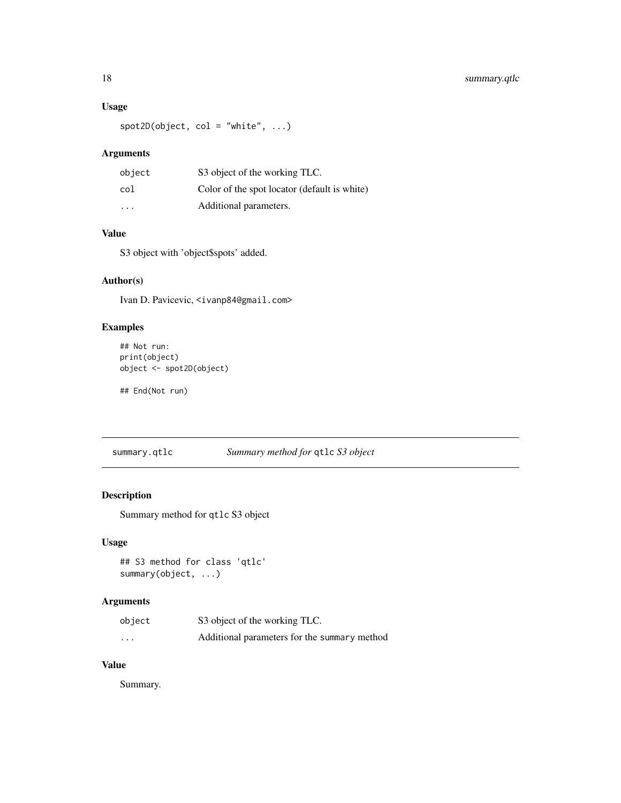#### <span id="page-17-0"></span>Usage

 $spot2D(object, col = "white", ...)$ 

#### Arguments

| object  | S3 object of the working TLC.                |
|---------|----------------------------------------------|
| col     | Color of the spot locator (default is white) |
| $\cdot$ | Additional parameters.                       |

#### Value

S3 object with 'object\$spots' added.

#### Author(s)

Ivan D. Pavicevic, <ivanp84@gmail.com>

#### Examples

```
## Not run:
print(object)
object <- spot2D(object)
```
## End(Not run)

```
summary.qtlc Summary method for qtlc S3 object
```
#### Description

Summary method for qtlc S3 object

#### Usage

```
## S3 method for class 'qtlc'
summary(object, ...)
```
#### Arguments

| object   | S3 object of the working TLC.                |
|----------|----------------------------------------------|
| $\cdots$ | Additional parameters for the summary method |

# Value

Summary.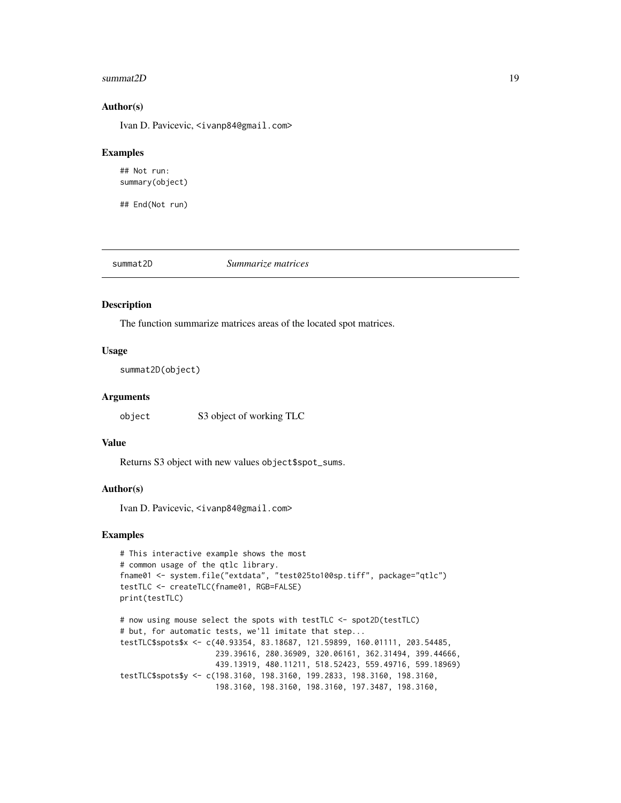#### <span id="page-18-0"></span>summat2D 19

#### Author(s)

Ivan D. Pavicevic, <ivanp84@gmail.com>

#### Examples

## Not run: summary(object)

## End(Not run)

summat2D *Summarize matrices*

#### Description

The function summarize matrices areas of the located spot matrices.

#### Usage

summat2D(object)

# Arguments

object S3 object of working TLC

#### Value

Returns S3 object with new values object\$spot\_sums.

#### Author(s)

Ivan D. Pavicevic, <ivanp84@gmail.com>

#### Examples

```
# This interactive example shows the most
# common usage of the qtlc library.
fname01 <- system.file("extdata", "test025to100sp.tiff", package="qtlc")
testTLC <- createTLC(fname01, RGB=FALSE)
print(testTLC)
# now using mouse select the spots with testTLC <- spot2D(testTLC)
```

```
# but, for automatic tests, we'll imitate that step...
testTLC$spots$x <- c(40.93354, 83.18687, 121.59899, 160.01111, 203.54485,
                    239.39616, 280.36909, 320.06161, 362.31494, 399.44666,
                    439.13919, 480.11211, 518.52423, 559.49716, 599.18969)
testTLC$spots$y <- c(198.3160, 198.3160, 199.2833, 198.3160, 198.3160,
                    198.3160, 198.3160, 198.3160, 197.3487, 198.3160,
```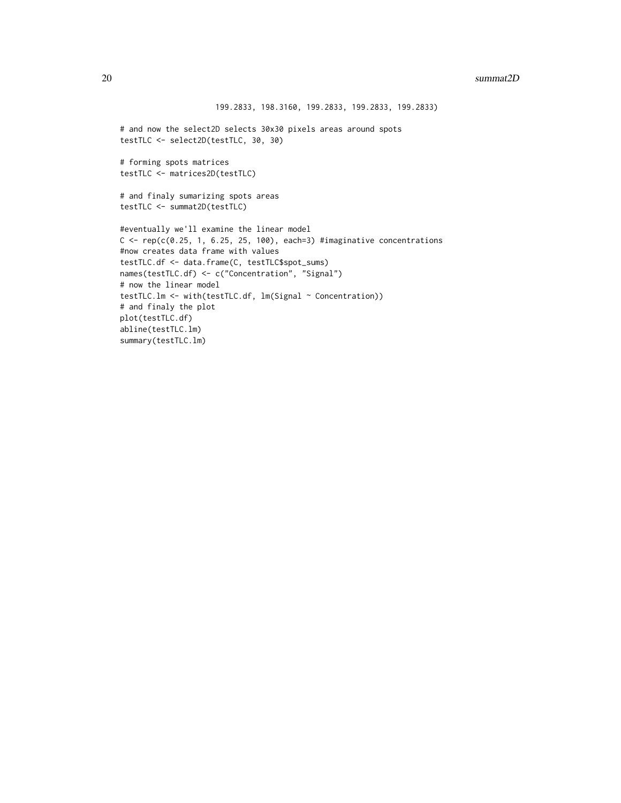```
199.2833, 198.3160, 199.2833, 199.2833, 199.2833)
# and now the select2D selects 30x30 pixels areas around spots
testTLC <- select2D(testTLC, 30, 30)
# forming spots matrices
testTLC <- matrices2D(testTLC)
# and finaly sumarizing spots areas
testTLC <- summat2D(testTLC)
#eventually we'll examine the linear model
C \leq -\text{rep}(c(0.25, 1, 6.25, 25, 100), each=3) #imaginative concentrations
#now creates data frame with values
testTLC.df <- data.frame(C, testTLC$spot_sums)
names(testTLC.df) <- c("Concentration", "Signal")
# now the linear model
testTLC.lm <- with(testTLC.df, lm(Signal ~ Concentration))
# and finaly the plot
plot(testTLC.df)
abline(testTLC.lm)
summary(testTLC.lm)
```